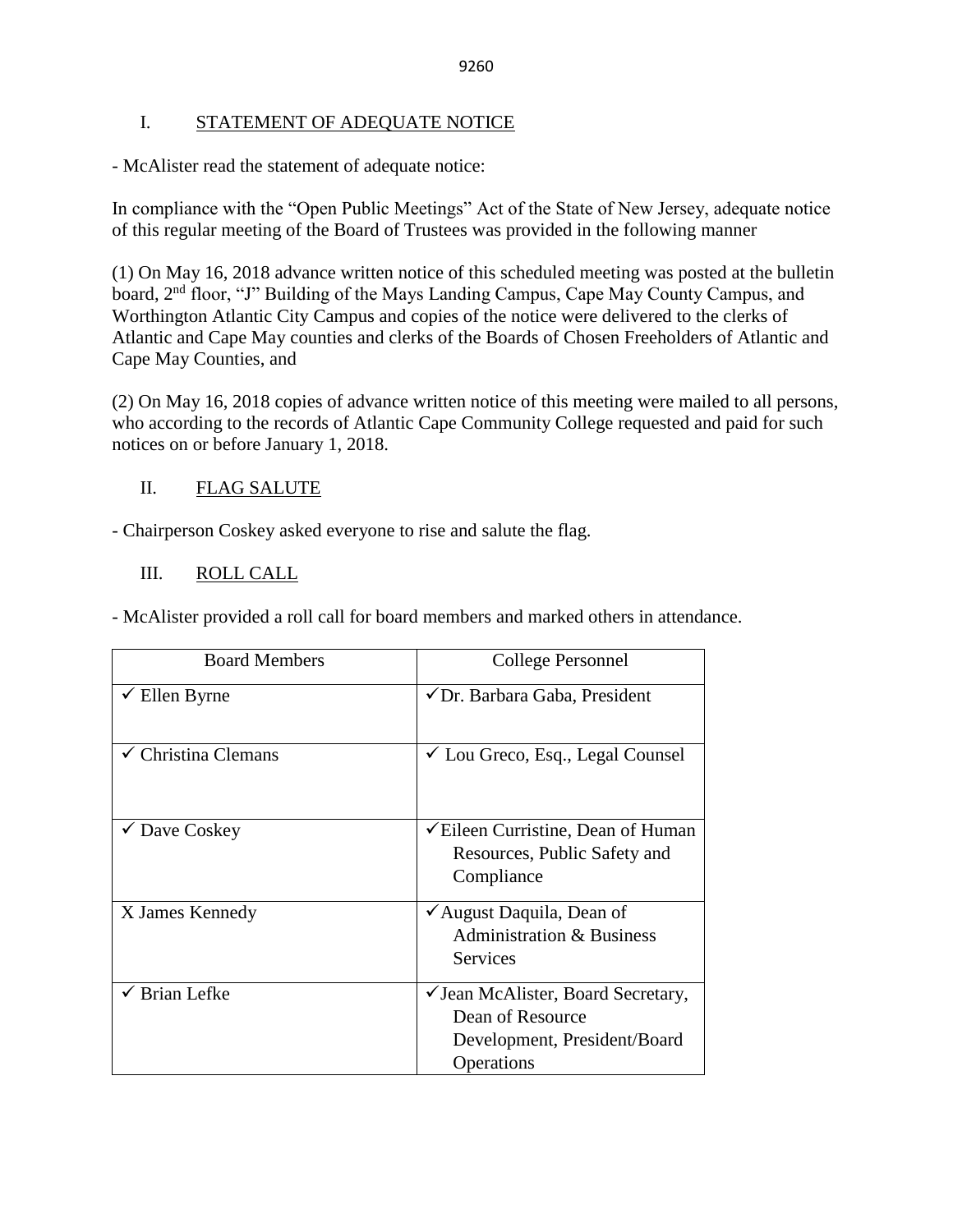## I. STATEMENT OF ADEQUATE NOTICE

- McAlister read the statement of adequate notice:

In compliance with the "Open Public Meetings" Act of the State of New Jersey, adequate notice of this regular meeting of the Board of Trustees was provided in the following manner

(1) On May 16, 2018 advance written notice of this scheduled meeting was posted at the bulletin board, 2<sup>nd</sup> floor, "J" Building of the Mays Landing Campus, Cape May County Campus, and Worthington Atlantic City Campus and copies of the notice were delivered to the clerks of Atlantic and Cape May counties and clerks of the Boards of Chosen Freeholders of Atlantic and Cape May Counties, and

(2) On May 16, 2018 copies of advance written notice of this meeting were mailed to all persons, who according to the records of Atlantic Cape Community College requested and paid for such notices on or before January 1, 2018.

# II. FLAG SALUTE

- Chairperson Coskey asked everyone to rise and salute the flag.

## III. ROLL CALL

- McAlister provided a roll call for board members and marked others in attendance.

| <b>Board Members</b>     | College Personnel                                                                                    |  |
|--------------------------|------------------------------------------------------------------------------------------------------|--|
| Ellen Byrne              | ✔ Dr. Barbara Gaba, President                                                                        |  |
| Christina Clemans        | $\checkmark$ Lou Greco, Esq., Legal Counsel                                                          |  |
| $\checkmark$ Dave Coskey | $\checkmark$ Eileen Curristine, Dean of Human<br>Resources, Public Safety and<br>Compliance          |  |
| X James Kennedy          | ✔ August Daquila, Dean of<br><b>Administration &amp; Business</b><br><b>Services</b>                 |  |
| Brian Lefke              | ✓ Jean McAlister, Board Secretary,<br>Dean of Resource<br>Development, President/Board<br>Operations |  |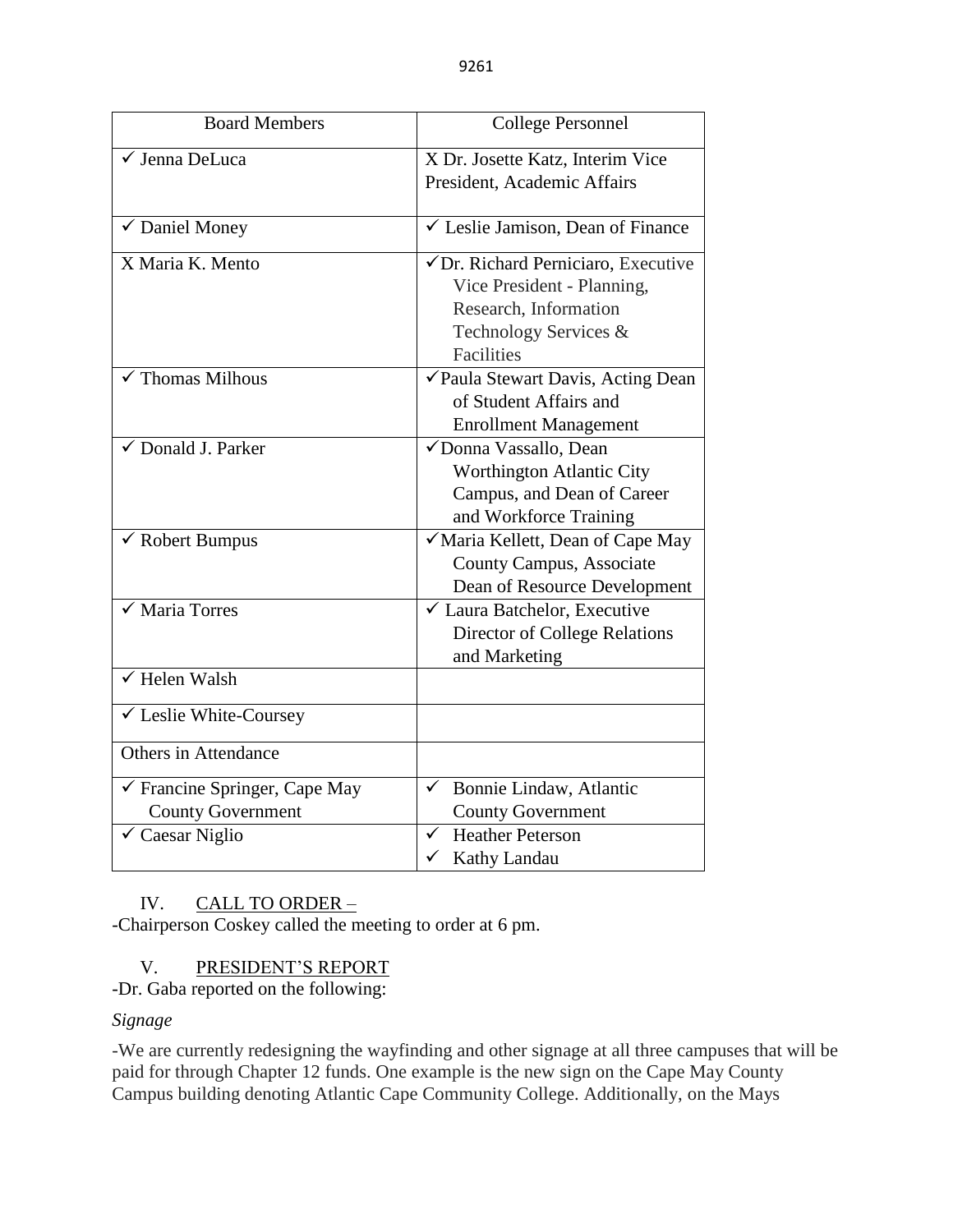| <b>Board Members</b>                                                                               | <b>College Personnel</b>                                                                                                                 |  |  |
|----------------------------------------------------------------------------------------------------|------------------------------------------------------------------------------------------------------------------------------------------|--|--|
| √ Jenna DeLuca                                                                                     | X Dr. Josette Katz, Interim Vice<br>President, Academic Affairs                                                                          |  |  |
| $\checkmark$ Daniel Money                                                                          | $\checkmark$ Leslie Jamison, Dean of Finance                                                                                             |  |  |
| X Maria K. Mento                                                                                   | √ Dr. Richard Perniciaro, Executive<br>Vice President - Planning,<br>Research, Information<br>Technology Services &<br><b>Facilities</b> |  |  |
| $\checkmark$ Thomas Milhous                                                                        | √Paula Stewart Davis, Acting Dean<br>of Student Affairs and<br><b>Enrollment Management</b>                                              |  |  |
| $\checkmark$ Donald J. Parker                                                                      | √Donna Vassallo, Dean<br>Worthington Atlantic City<br>Campus, and Dean of Career<br>and Workforce Training                               |  |  |
| $\checkmark$ Robert Bumpus                                                                         | √ Maria Kellett, Dean of Cape May<br><b>County Campus, Associate</b><br>Dean of Resource Development                                     |  |  |
| $\checkmark$ Maria Torres                                                                          | ✓ Laura Batchelor, Executive<br>Director of College Relations<br>and Marketing                                                           |  |  |
| $\sqrt{}$ Helen Walsh                                                                              |                                                                                                                                          |  |  |
| ✔ Leslie White-Coursey                                                                             |                                                                                                                                          |  |  |
| Others in Attendance                                                                               |                                                                                                                                          |  |  |
| $\checkmark$ Francine Springer, Cape May<br><b>County Government</b><br>$\checkmark$ Caesar Niglio | Bonnie Lindaw, Atlantic<br>$\checkmark$<br><b>County Government</b><br><b>Heather Peterson</b><br>$\checkmark$                           |  |  |
|                                                                                                    | ✓<br>Kathy Landau                                                                                                                        |  |  |

# IV. CALL TO ORDER -

-Chairperson Coskey called the meeting to order at 6 pm.

# V. PRESIDENT'S REPORT

-Dr. Gaba reported on the following:

# *Signage*

-We are currently redesigning the wayfinding and other signage at all three campuses that will be paid for through Chapter 12 funds. One example is the new sign on the Cape May County Campus building denoting Atlantic Cape Community College. Additionally, on the Mays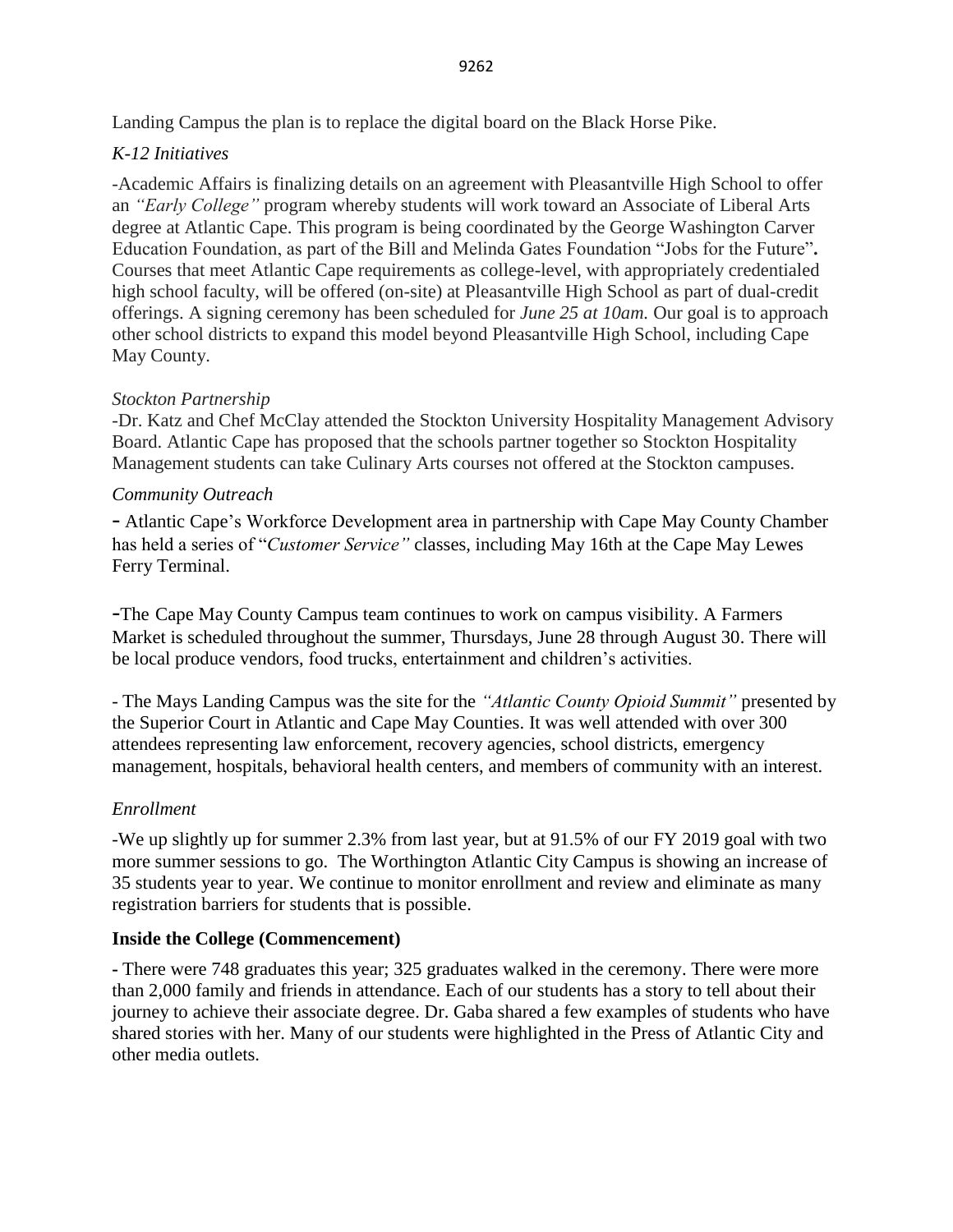Landing Campus the plan is to replace the digital board on the Black Horse Pike.

## *K-12 Initiatives*

-Academic Affairs is finalizing details on an agreement with Pleasantville High School to offer an *"Early College"* program whereby students will work toward an Associate of Liberal Arts degree at Atlantic Cape. This program is being coordinated by the George Washington Carver Education Foundation, as part of the Bill and Melinda Gates Foundation "Jobs for the Future"**.** Courses that meet Atlantic Cape requirements as college-level, with appropriately credentialed high school faculty, will be offered (on-site) at Pleasantville High School as part of dual-credit offerings. A signing ceremony has been scheduled for *June 25 at 10am.* Our goal is to approach other school districts to expand this model beyond Pleasantville High School, including Cape May County.

## *Stockton Partnership*

-Dr. Katz and Chef McClay attended the Stockton University Hospitality Management Advisory Board. Atlantic Cape has proposed that the schools partner together so Stockton Hospitality Management students can take Culinary Arts courses not offered at the Stockton campuses.

## *Community Outreach*

- Atlantic Cape's Workforce Development area in partnership with Cape May County Chamber has held a series of "*Customer Service"* classes, including May 16th at the Cape May Lewes Ferry Terminal.

-The Cape May County Campus team continues to work on campus visibility. A Farmers Market is scheduled throughout the summer, Thursdays, June 28 through August 30. There will be local produce vendors, food trucks, entertainment and children's activities.

- The Mays Landing Campus was the site for the *"Atlantic County Opioid Summit"* presented by the Superior Court in Atlantic and Cape May Counties. It was well attended with over 300 attendees representing law enforcement, recovery agencies, school districts, emergency management, hospitals, behavioral health centers, and members of community with an interest.

## *Enrollment*

-We up slightly up for summer 2.3% from last year, but at 91.5% of our FY 2019 goal with two more summer sessions to go. The Worthington Atlantic City Campus is showing an increase of 35 students year to year. We continue to monitor enrollment and review and eliminate as many registration barriers for students that is possible.

## **Inside the College (Commencement)**

**-** There were 748 graduates this year; 325 graduates walked in the ceremony. There were more than 2,000 family and friends in attendance. Each of our students has a story to tell about their journey to achieve their associate degree. Dr. Gaba shared a few examples of students who have shared stories with her. Many of our students were highlighted in the Press of Atlantic City and other media outlets.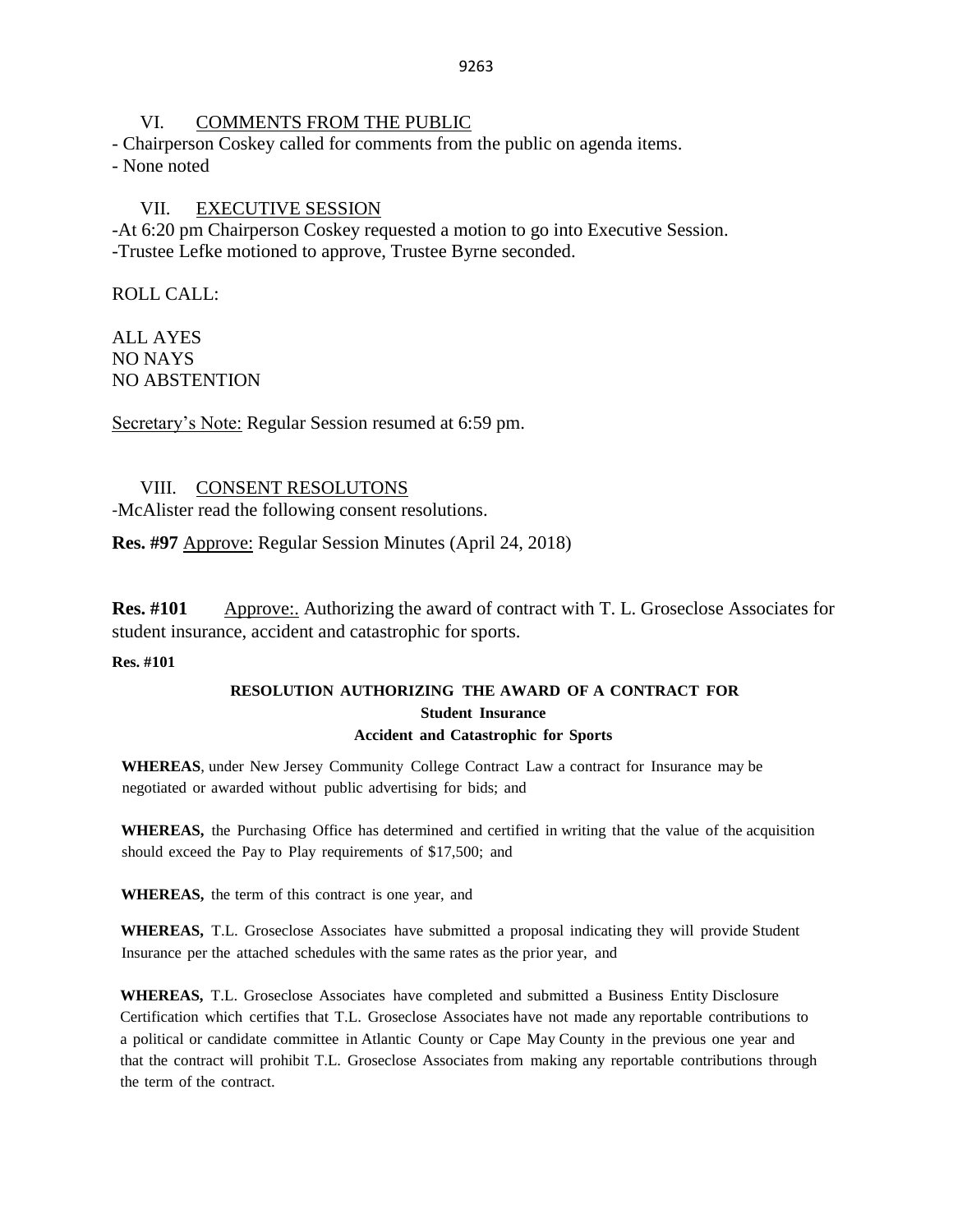### VI. COMMENTS FROM THE PUBLIC

- Chairperson Coskey called for comments from the public on agenda items.

- None noted

## VII. EXECUTIVE SESSION

-At 6:20 pm Chairperson Coskey requested a motion to go into Executive Session. -Trustee Lefke motioned to approve, Trustee Byrne seconded.

ROLL CALL:

ALL AYES NO NAYS NO ABSTENTION

Secretary's Note: Regular Session resumed at 6:59 pm.

## VIII. CONSENT RESOLUTONS

-McAlister read the following consent resolutions.

**Res. #97** Approve: Regular Session Minutes (April 24, 2018)

**Res. #101** Approve:. Authorizing the award of contract with T. L. Groseclose Associates for student insurance, accident and catastrophic for sports.

### **Res. #101**

## **RESOLUTION AUTHORIZING THE AWARD OF A CONTRACT FOR Student Insurance Accident and Catastrophic for Sports**

**WHEREAS**, under New Jersey Community College Contract Law a contract for Insurance may be negotiated or awarded without public advertising for bids; and

**WHEREAS,** the Purchasing Office has determined and certified in writing that the value of the acquisition should exceed the Pay to Play requirements of \$17,500; and

**WHEREAS,** the term of this contract is one year, and

**WHEREAS,** T.L. Groseclose Associates have submitted a proposal indicating they will provide Student Insurance per the attached schedules with the same rates as the prior year, and

**WHEREAS,** T.L. Groseclose Associates have completed and submitted a Business Entity Disclosure Certification which certifies that T.L. Groseclose Associates have not made any reportable contributions to a political or candidate committee in Atlantic County or Cape May County in the previous one year and that the contract will prohibit T.L. Groseclose Associates from making any reportable contributions through the term of the contract.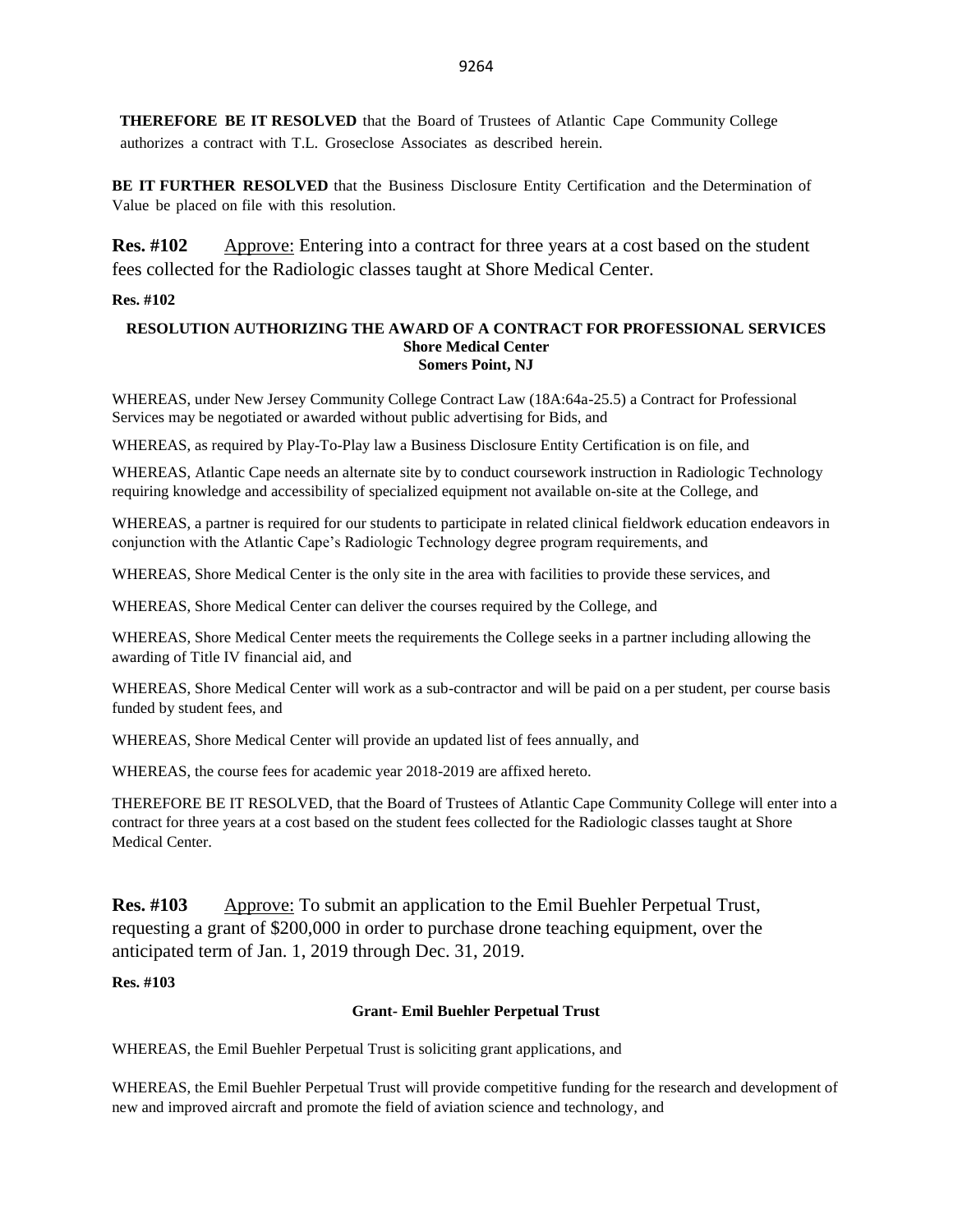**THEREFORE BE IT RESOLVED** that the Board of Trustees of Atlantic Cape Community College authorizes a contract with T.L. Groseclose Associates as described herein.

**BE IT FURTHER RESOLVED** that the Business Disclosure Entity Certification and the Determination of Value be placed on file with this resolution.

**Res. #102** Approve: Entering into a contract for three years at a cost based on the student fees collected for the Radiologic classes taught at Shore Medical Center.

#### **Res. #102**

#### **RESOLUTION AUTHORIZING THE AWARD OF A CONTRACT FOR PROFESSIONAL SERVICES Shore Medical Center Somers Point, NJ**

WHEREAS, under New Jersey Community College Contract Law (18A:64a-25.5) a Contract for Professional Services may be negotiated or awarded without public advertising for Bids, and

WHEREAS, as required by Play-To-Play law a Business Disclosure Entity Certification is on file, and

WHEREAS, Atlantic Cape needs an alternate site by to conduct coursework instruction in Radiologic Technology requiring knowledge and accessibility of specialized equipment not available on-site at the College, and

WHEREAS, a partner is required for our students to participate in related clinical fieldwork education endeavors in conjunction with the Atlantic Cape's Radiologic Technology degree program requirements, and

WHEREAS, Shore Medical Center is the only site in the area with facilities to provide these services, and

WHEREAS, Shore Medical Center can deliver the courses required by the College, and

WHEREAS, Shore Medical Center meets the requirements the College seeks in a partner including allowing the awarding of Title IV financial aid, and

WHEREAS, Shore Medical Center will work as a sub-contractor and will be paid on a per student, per course basis funded by student fees, and

WHEREAS, Shore Medical Center will provide an updated list of fees annually, and

WHEREAS, the course fees for academic year 2018-2019 are affixed hereto.

THEREFORE BE IT RESOLVED, that the Board of Trustees of Atlantic Cape Community College will enter into a contract for three years at a cost based on the student fees collected for the Radiologic classes taught at Shore Medical Center.

**Res. #103** Approve: To submit an application to the Emil Buehler Perpetual Trust, requesting a grant of \$200,000 in order to purchase drone teaching equipment, over the anticipated term of Jan. 1, 2019 through Dec. 31, 2019.

#### **Res. #103**

#### **Grant- Emil Buehler Perpetual Trust**

WHEREAS, the Emil Buehler Perpetual Trust is soliciting grant applications, and

WHEREAS, the Emil Buehler Perpetual Trust will provide competitive funding for the research and development of new and improved aircraft and promote the field of aviation science and technology, and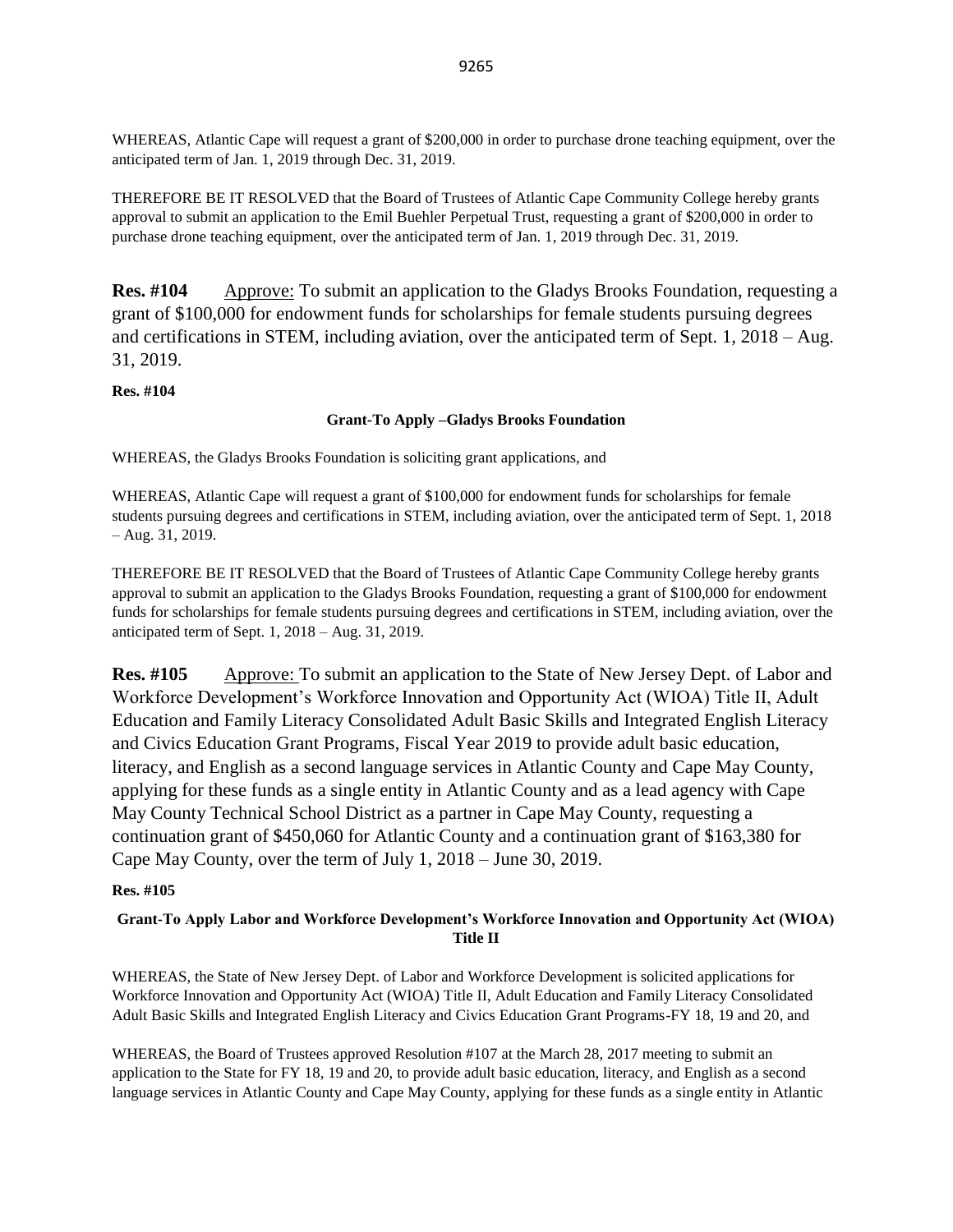WHEREAS, Atlantic Cape will request a grant of \$200,000 in order to purchase drone teaching equipment, over the anticipated term of Jan. 1, 2019 through Dec. 31, 2019.

THEREFORE BE IT RESOLVED that the Board of Trustees of Atlantic Cape Community College hereby grants approval to submit an application to the Emil Buehler Perpetual Trust, requesting a grant of \$200,000 in order to purchase drone teaching equipment, over the anticipated term of Jan. 1, 2019 through Dec. 31, 2019.

**Res. #104** Approve: To submit an application to the Gladys Brooks Foundation, requesting a grant of \$100,000 for endowment funds for scholarships for female students pursuing degrees and certifications in STEM, including aviation, over the anticipated term of Sept. 1, 2018 – Aug. 31, 2019.

**Res. #104**

#### **Grant-To Apply –Gladys Brooks Foundation**

WHEREAS, the Gladys Brooks Foundation is soliciting grant applications, and

WHEREAS, Atlantic Cape will request a grant of \$100,000 for endowment funds for scholarships for female students pursuing degrees and certifications in STEM, including aviation, over the anticipated term of Sept. 1, 2018 – Aug. 31, 2019.

THEREFORE BE IT RESOLVED that the Board of Trustees of Atlantic Cape Community College hereby grants approval to submit an application to the Gladys Brooks Foundation, requesting a grant of \$100,000 for endowment funds for scholarships for female students pursuing degrees and certifications in STEM, including aviation, over the anticipated term of Sept. 1, 2018 – Aug. 31, 2019.

**Res. #105** Approve: To submit an application to the State of New Jersey Dept. of Labor and Workforce Development's Workforce Innovation and Opportunity Act (WIOA) Title II, Adult Education and Family Literacy Consolidated Adult Basic Skills and Integrated English Literacy and Civics Education Grant Programs, Fiscal Year 2019 to provide adult basic education, literacy, and English as a second language services in Atlantic County and Cape May County, applying for these funds as a single entity in Atlantic County and as a lead agency with Cape May County Technical School District as a partner in Cape May County, requesting a continuation grant of \$450,060 for Atlantic County and a continuation grant of \$163,380 for Cape May County, over the term of July 1, 2018 – June 30, 2019.

#### **Res. #105**

### **Grant-To Apply Labor and Workforce Development's Workforce Innovation and Opportunity Act (WIOA) Title II**

WHEREAS, the State of New Jersey Dept. of Labor and Workforce Development is solicited applications for Workforce Innovation and Opportunity Act (WIOA) Title II, Adult Education and Family Literacy Consolidated Adult Basic Skills and Integrated English Literacy and Civics Education Grant Programs-FY 18, 19 and 20, and

WHEREAS, the Board of Trustees approved Resolution #107 at the March 28, 2017 meeting to submit an application to the State for FY 18, 19 and 20, to provide adult basic education, literacy, and English as a second language services in Atlantic County and Cape May County, applying for these funds as a single entity in Atlantic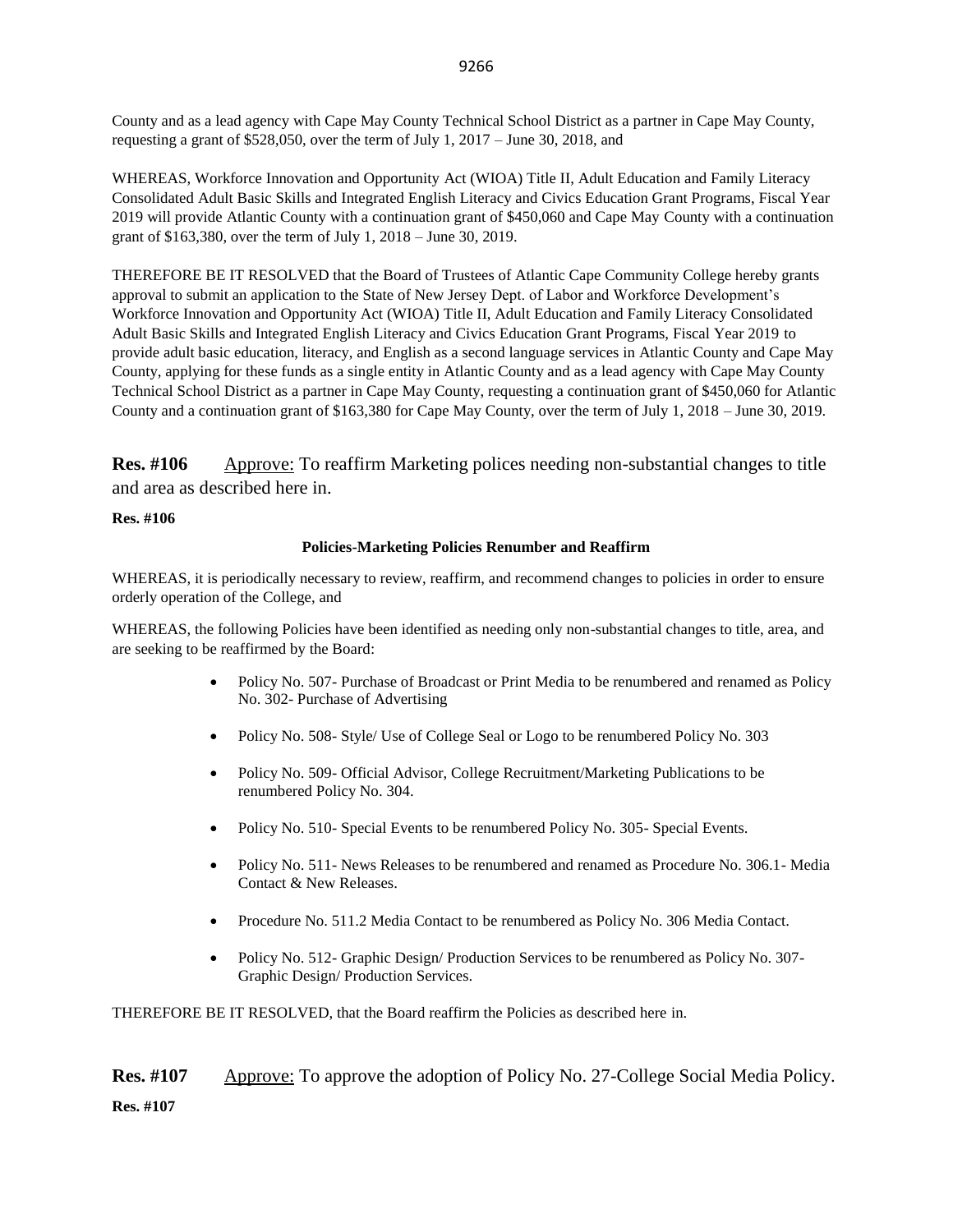County and as a lead agency with Cape May County Technical School District as a partner in Cape May County, requesting a grant of \$528,050, over the term of July 1, 2017 – June 30, 2018, and

WHEREAS, Workforce Innovation and Opportunity Act (WIOA) Title II, Adult Education and Family Literacy Consolidated Adult Basic Skills and Integrated English Literacy and Civics Education Grant Programs, Fiscal Year 2019 will provide Atlantic County with a continuation grant of \$450,060 and Cape May County with a continuation grant of \$163,380, over the term of July 1, 2018 – June 30, 2019.

THEREFORE BE IT RESOLVED that the Board of Trustees of Atlantic Cape Community College hereby grants approval to submit an application to the State of New Jersey Dept. of Labor and Workforce Development's Workforce Innovation and Opportunity Act (WIOA) Title II, Adult Education and Family Literacy Consolidated Adult Basic Skills and Integrated English Literacy and Civics Education Grant Programs, Fiscal Year 2019 to provide adult basic education, literacy, and English as a second language services in Atlantic County and Cape May County, applying for these funds as a single entity in Atlantic County and as a lead agency with Cape May County Technical School District as a partner in Cape May County, requesting a continuation grant of \$450,060 for Atlantic County and a continuation grant of \$163,380 for Cape May County, over the term of July 1, 2018 – June 30, 2019.

**Res. #106** Approve: To reaffirm Marketing polices needing non-substantial changes to title and area as described here in.

#### **Res. #106**

#### **Policies-Marketing Policies Renumber and Reaffirm**

WHEREAS, it is periodically necessary to review, reaffirm, and recommend changes to policies in order to ensure orderly operation of the College, and

WHEREAS, the following Policies have been identified as needing only non-substantial changes to title, area, and are seeking to be reaffirmed by the Board:

- Policy No. 507- Purchase of Broadcast or Print Media to be renumbered and renamed as Policy No. 302- Purchase of Advertising
- Policy No. 508- Style/ Use of College Seal or Logo to be renumbered Policy No. 303
- Policy No. 509- Official Advisor, College Recruitment/Marketing Publications to be renumbered Policy No. 304.
- Policy No. 510- Special Events to be renumbered Policy No. 305- Special Events.
- Policy No. 511- News Releases to be renumbered and renamed as Procedure No. 306.1- Media Contact & New Releases.
- Procedure No. 511.2 Media Contact to be renumbered as Policy No. 306 Media Contact.
- Policy No. 512- Graphic Design/ Production Services to be renumbered as Policy No. 307- Graphic Design/ Production Services.

THEREFORE BE IT RESOLVED, that the Board reaffirm the Policies as described here in.

**Res. #107** Approve: To approve the adoption of Policy No. 27-College Social Media Policy. **Res. #107**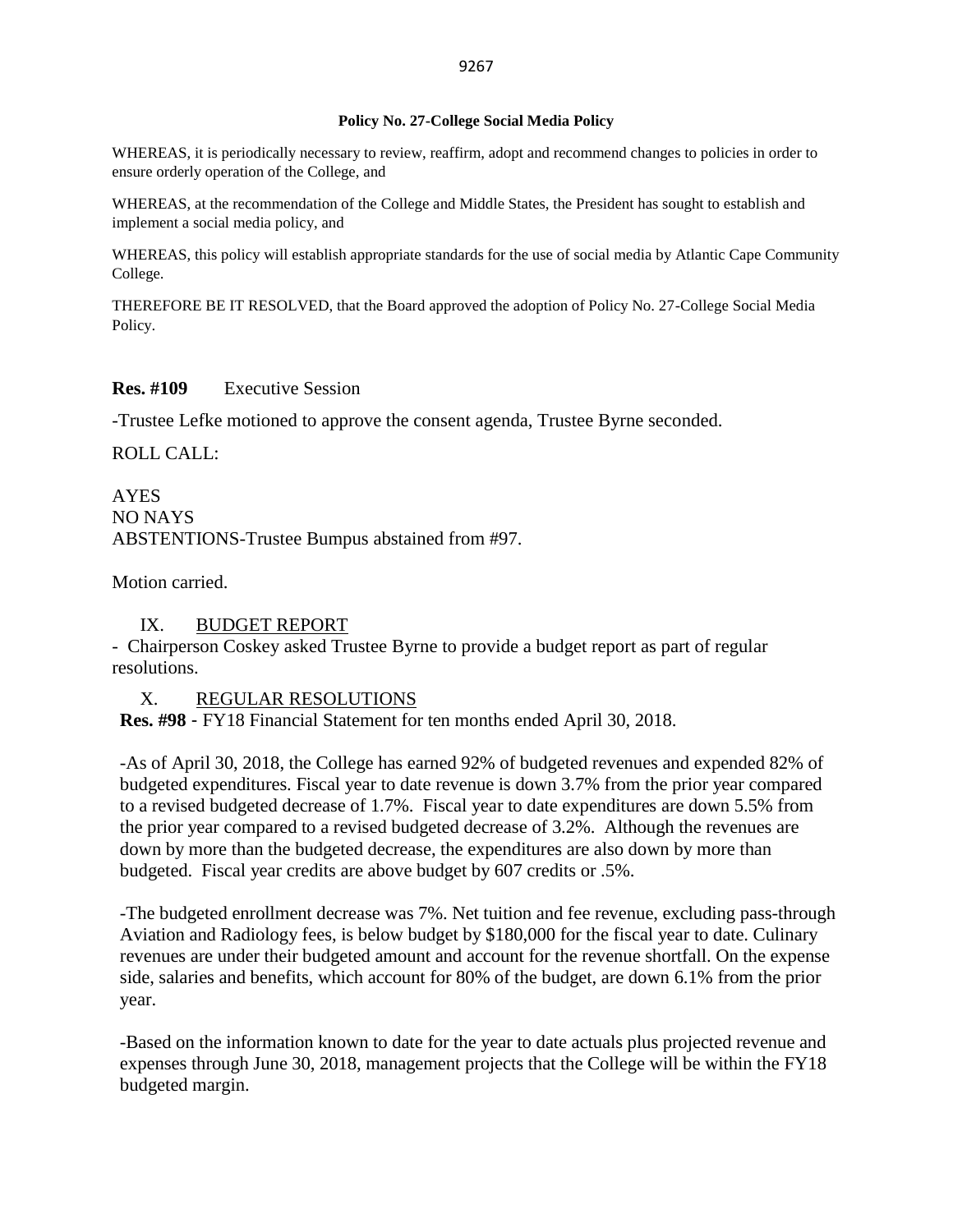#### **Policy No. 27-College Social Media Policy**

WHEREAS, it is periodically necessary to review, reaffirm, adopt and recommend changes to policies in order to ensure orderly operation of the College, and

WHEREAS, at the recommendation of the College and Middle States, the President has sought to establish and implement a social media policy, and

WHEREAS, this policy will establish appropriate standards for the use of social media by Atlantic Cape Community College.

THEREFORE BE IT RESOLVED, that the Board approved the adoption of Policy No. 27-College Social Media Policy.

### **Res. #109** Executive Session

-Trustee Lefke motioned to approve the consent agenda, Trustee Byrne seconded.

ROLL CALL:

AYES NO NAYS ABSTENTIONS-Trustee Bumpus abstained from #97.

Motion carried.

## IX. BUDGET REPORT

- Chairperson Coskey asked Trustee Byrne to provide a budget report as part of regular resolutions.

X. REGULAR RESOLUTIONS

**Res. #98** - FY18 Financial Statement for ten months ended April 30, 2018.

-As of April 30, 2018, the College has earned 92% of budgeted revenues and expended 82% of budgeted expenditures. Fiscal year to date revenue is down 3.7% from the prior year compared to a revised budgeted decrease of 1.7%. Fiscal year to date expenditures are down 5.5% from the prior year compared to a revised budgeted decrease of 3.2%. Although the revenues are down by more than the budgeted decrease, the expenditures are also down by more than budgeted. Fiscal year credits are above budget by 607 credits or .5%.

-The budgeted enrollment decrease was 7%. Net tuition and fee revenue, excluding pass-through Aviation and Radiology fees, is below budget by \$180,000 for the fiscal year to date. Culinary revenues are under their budgeted amount and account for the revenue shortfall. On the expense side, salaries and benefits, which account for 80% of the budget, are down 6.1% from the prior year.

-Based on the information known to date for the year to date actuals plus projected revenue and expenses through June 30, 2018, management projects that the College will be within the FY18 budgeted margin.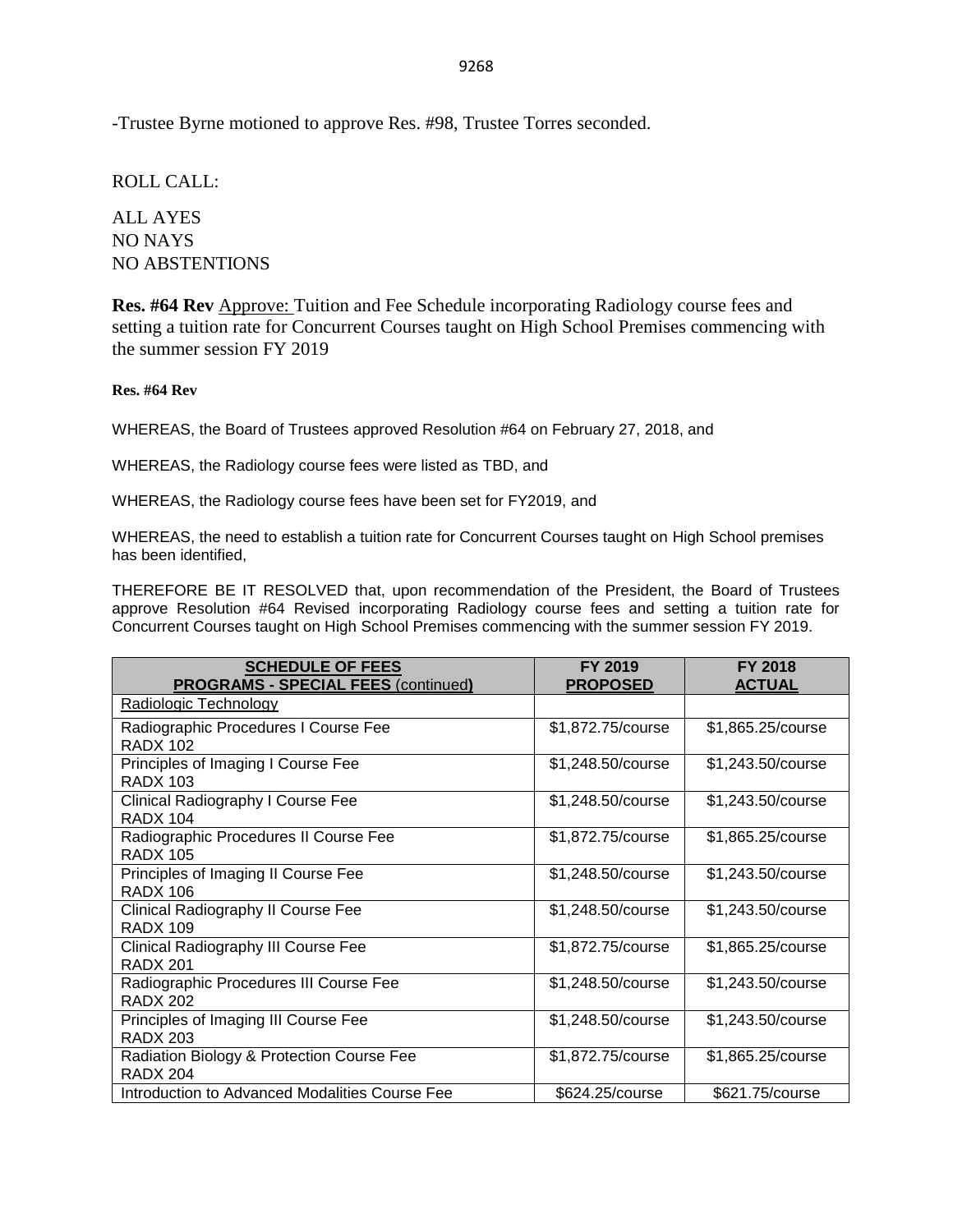-Trustee Byrne motioned to approve Res. #98, Trustee Torres seconded.

ROLL CALL:

ALL AYES NO NAYS NO ABSTENTIONS

**Res. #64 Rev** Approve: Tuition and Fee Schedule incorporating Radiology course fees and setting a tuition rate for Concurrent Courses taught on High School Premises commencing with the summer session FY 2019

#### **Res. #64 Rev**

WHEREAS, the Board of Trustees approved Resolution #64 on February 27, 2018, and

WHEREAS, the Radiology course fees were listed as TBD, and

WHEREAS, the Radiology course fees have been set for FY2019, and

WHEREAS, the need to establish a tuition rate for Concurrent Courses taught on High School premises has been identified,

THEREFORE BE IT RESOLVED that, upon recommendation of the President, the Board of Trustees approve Resolution #64 Revised incorporating Radiology course fees and setting a tuition rate for Concurrent Courses taught on High School Premises commencing with the summer session FY 2019.

| <b>SCHEDULE OF FEES</b><br><b>PROGRAMS - SPECIAL FEES (continued)</b> | FY 2019<br><b>PROPOSED</b> | <b>FY 2018</b><br><b>ACTUAL</b> |
|-----------------------------------------------------------------------|----------------------------|---------------------------------|
| Radiologic Technology                                                 |                            |                                 |
| Radiographic Procedures I Course Fee<br><b>RADX 102</b>               | \$1,872.75/course          | \$1,865.25/course               |
| Principles of Imaging I Course Fee<br><b>RADX 103</b>                 | \$1,248.50/course          | \$1,243.50/course               |
| Clinical Radiography I Course Fee<br><b>RADX 104</b>                  | \$1,248.50/course          | \$1,243.50/course               |
| Radiographic Procedures II Course Fee<br><b>RADX 105</b>              | \$1,872.75/course          | \$1,865.25/course               |
| Principles of Imaging II Course Fee<br><b>RADX 106</b>                | \$1,248.50/course          | \$1,243.50/course               |
| Clinical Radiography II Course Fee<br><b>RADX 109</b>                 | \$1,248.50/course          | \$1,243.50/course               |
| Clinical Radiography III Course Fee<br><b>RADX 201</b>                | \$1,872.75/course          | \$1,865.25/course               |
| Radiographic Procedures III Course Fee<br><b>RADX 202</b>             | \$1,248.50/course          | \$1,243.50/course               |
| Principles of Imaging III Course Fee<br><b>RADX 203</b>               | \$1,248.50/course          | \$1,243.50/course               |
| Radiation Biology & Protection Course Fee<br><b>RADX 204</b>          | \$1,872.75/course          | \$1,865.25/course               |
| Introduction to Advanced Modalities Course Fee                        | \$624.25/course            | \$621.75/course                 |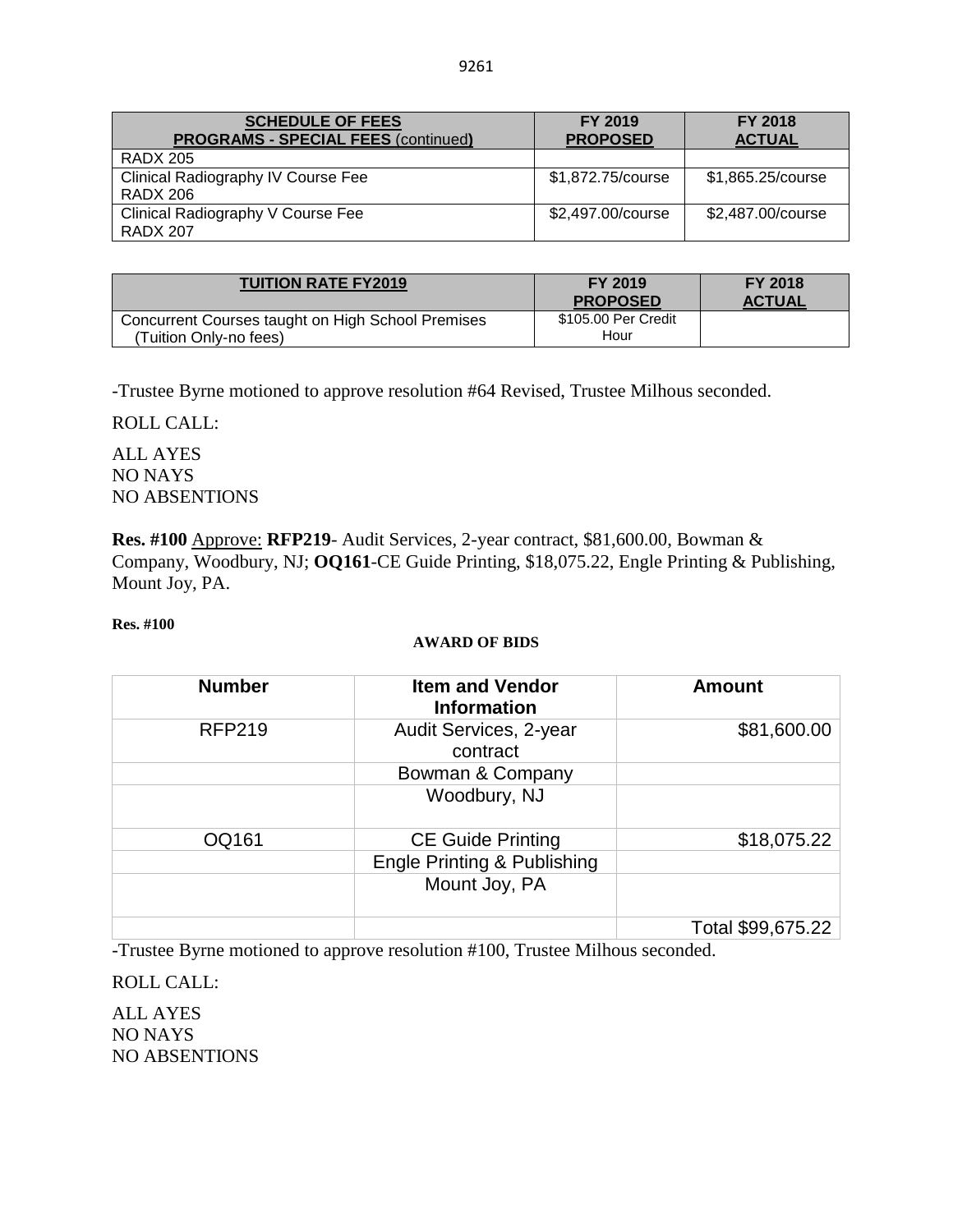| <b>SCHEDULE OF FEES</b><br><b>PROGRAMS - SPECIAL FEES (continued)</b> | <b>FY 2019</b><br><b>PROPOSED</b> | <b>FY 2018</b><br><b>ACTUAL</b> |
|-----------------------------------------------------------------------|-----------------------------------|---------------------------------|
| <b>RADX 205</b>                                                       |                                   |                                 |
| Clinical Radiography IV Course Fee<br><b>RADX 206</b>                 | \$1,872.75/course                 | \$1,865.25/course               |
| Clinical Radiography V Course Fee<br><b>RADX 207</b>                  | \$2,497.00/course                 | \$2,487.00/course               |

| <b>TUITION RATE FY2019</b>                                                  | FY 2019<br><b>PROPOSED</b>  | <b>FY 2018</b><br><b>ACTUAL</b> |
|-----------------------------------------------------------------------------|-----------------------------|---------------------------------|
| Concurrent Courses taught on High School Premises<br>(Tuition Onlv-no fees) | \$105.00 Per Credit<br>Hour |                                 |

-Trustee Byrne motioned to approve resolution #64 Revised, Trustee Milhous seconded.

ROLL CALL:

ALL AYES NO NAYS NO ABSENTIONS

**Res. #100** Approve: **RFP219**- Audit Services, 2-year contract, \$81,600.00, Bowman & Company, Woodbury, NJ; **OQ161**-CE Guide Printing, \$18,075.22, Engle Printing & Publishing, Mount Joy, PA.

#### **Res. #100**

#### **AWARD OF BIDS**

| <b>Number</b> | <b>Item and Vendor</b><br><b>Information</b> | <b>Amount</b>     |
|---------------|----------------------------------------------|-------------------|
| <b>RFP219</b> | Audit Services, 2-year<br>contract           | \$81,600.00       |
|               | Bowman & Company                             |                   |
|               | Woodbury, NJ                                 |                   |
| OQ161         | <b>CE Guide Printing</b>                     | \$18,075.22       |
|               | <b>Engle Printing &amp; Publishing</b>       |                   |
|               | Mount Joy, PA                                |                   |
|               |                                              | Total \$99,675.22 |

-Trustee Byrne motioned to approve resolution #100, Trustee Milhous seconded.

ROLL CALL:

ALL AYES NO NAYS NO ABSENTIONS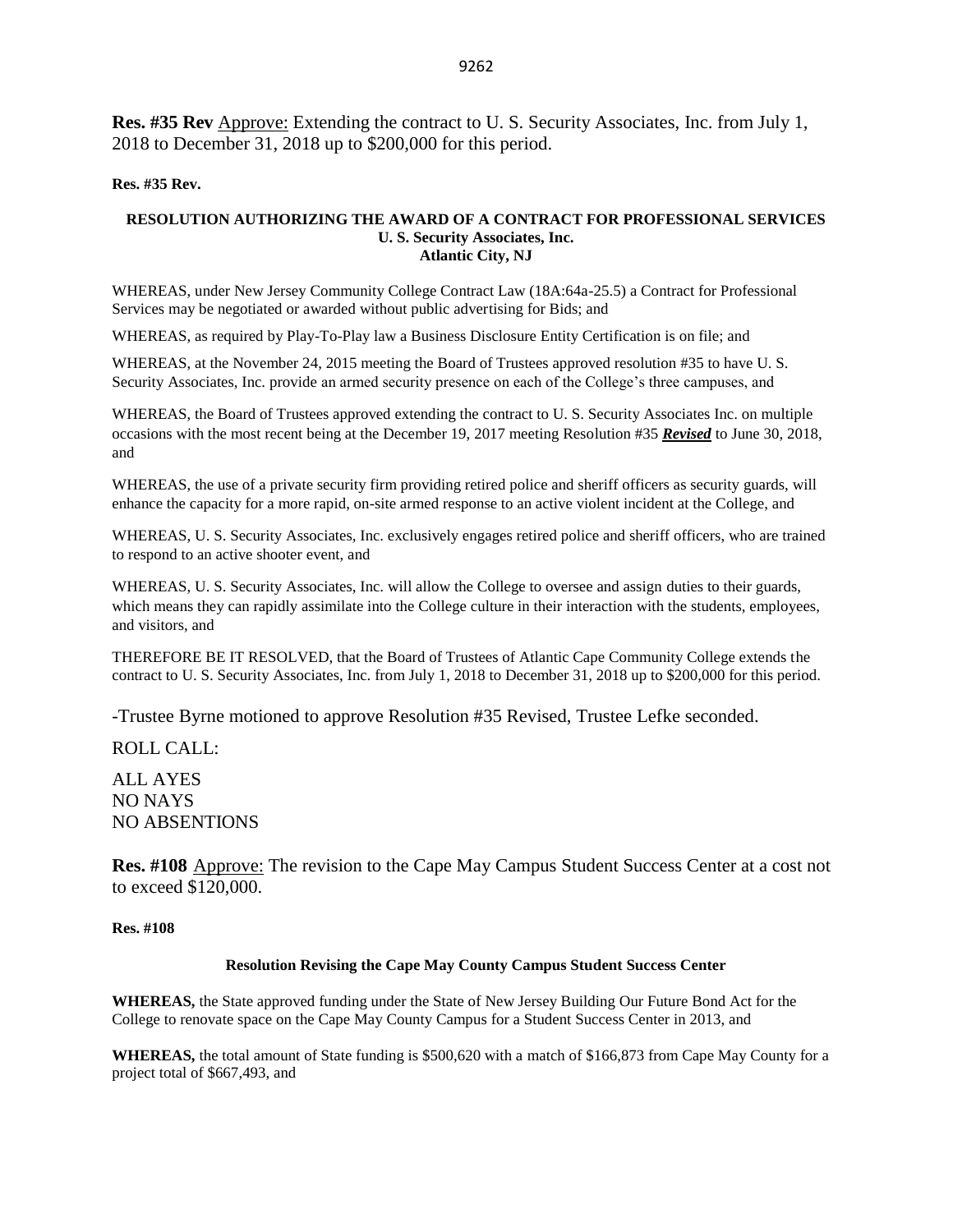**Res. #35 Rev** Approve: Extending the contract to U. S. Security Associates, Inc. from July 1, 2018 to December 31, 2018 up to \$200,000 for this period.

#### **Res. #35 Rev.**

#### **RESOLUTION AUTHORIZING THE AWARD OF A CONTRACT FOR PROFESSIONAL SERVICES U. S. Security Associates, Inc. Atlantic City, NJ**

WHEREAS, under New Jersey Community College Contract Law (18A:64a-25.5) a Contract for Professional Services may be negotiated or awarded without public advertising for Bids; and

WHEREAS, as required by Play-To-Play law a Business Disclosure Entity Certification is on file; and

WHEREAS, at the November 24, 2015 meeting the Board of Trustees approved resolution #35 to have U. S. Security Associates, Inc. provide an armed security presence on each of the College's three campuses, and

WHEREAS, the Board of Trustees approved extending the contract to U. S. Security Associates Inc. on multiple occasions with the most recent being at the December 19, 2017 meeting Resolution #35 *Revised* to June 30, 2018, and

WHEREAS, the use of a private security firm providing retired police and sheriff officers as security guards, will enhance the capacity for a more rapid, on-site armed response to an active violent incident at the College, and

WHEREAS, U. S. Security Associates, Inc. exclusively engages retired police and sheriff officers, who are trained to respond to an active shooter event, and

WHEREAS, U. S. Security Associates, Inc. will allow the College to oversee and assign duties to their guards, which means they can rapidly assimilate into the College culture in their interaction with the students, employees, and visitors, and

THEREFORE BE IT RESOLVED, that the Board of Trustees of Atlantic Cape Community College extends the contract to U. S. Security Associates, Inc. from July 1, 2018 to December 31, 2018 up to \$200,000 for this period.

-Trustee Byrne motioned to approve Resolution #35 Revised, Trustee Lefke seconded.

ROLL CALL:

ALL AYES NO NAYS NO ABSENTIONS

**Res. #108** Approve: The revision to the Cape May Campus Student Success Center at a cost not to exceed \$120,000.

**Res. #108**

#### **Resolution Revising the Cape May County Campus Student Success Center**

**WHEREAS,** the State approved funding under the State of New Jersey Building Our Future Bond Act for the College to renovate space on the Cape May County Campus for a Student Success Center in 2013, and

**WHEREAS,** the total amount of State funding is \$500,620 with a match of \$166,873 from Cape May County for a project total of \$667,493, and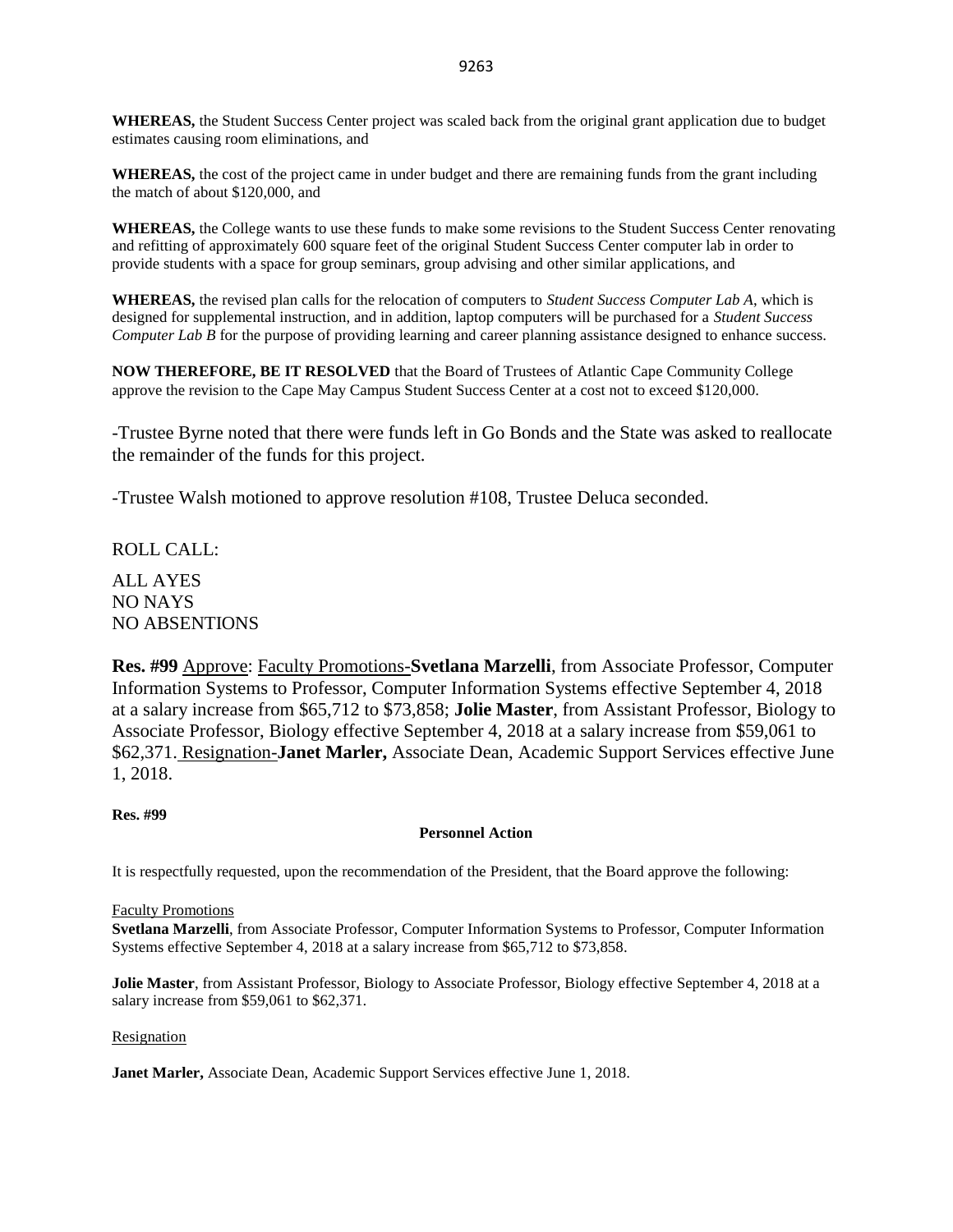**WHEREAS,** the Student Success Center project was scaled back from the original grant application due to budget estimates causing room eliminations, and

**WHEREAS,** the cost of the project came in under budget and there are remaining funds from the grant including the match of about \$120,000, and

**WHEREAS,** the College wants to use these funds to make some revisions to the Student Success Center renovating and refitting of approximately 600 square feet of the original Student Success Center computer lab in order to provide students with a space for group seminars, group advising and other similar applications, and

**WHEREAS,** the revised plan calls for the relocation of computers to *Student Success Computer Lab A*, which is designed for supplemental instruction, and in addition, laptop computers will be purchased for a *Student Success Computer Lab B* for the purpose of providing learning and career planning assistance designed to enhance success.

**NOW THEREFORE, BE IT RESOLVED** that the Board of Trustees of Atlantic Cape Community College approve the revision to the Cape May Campus Student Success Center at a cost not to exceed \$120,000.

-Trustee Byrne noted that there were funds left in Go Bonds and the State was asked to reallocate the remainder of the funds for this project.

-Trustee Walsh motioned to approve resolution #108, Trustee Deluca seconded.

ROLL CALL: ALL AYES NO NAYS NO ABSENTIONS

**Res. #99** Approve: Faculty Promotions-**Svetlana Marzelli**, from Associate Professor, Computer Information Systems to Professor, Computer Information Systems effective September 4, 2018 at a salary increase from \$65,712 to \$73,858; **Jolie Master**, from Assistant Professor, Biology to Associate Professor, Biology effective September 4, 2018 at a salary increase from \$59,061 to \$62,371. Resignation-**Janet Marler,** Associate Dean, Academic Support Services effective June 1, 2018.

#### **Res. #99**

#### **Personnel Action**

It is respectfully requested, upon the recommendation of the President, that the Board approve the following:

#### Faculty Promotions

**Svetlana Marzelli**, from Associate Professor, Computer Information Systems to Professor, Computer Information Systems effective September 4, 2018 at a salary increase from \$65,712 to \$73,858.

**Jolie Master**, from Assistant Professor, Biology to Associate Professor, Biology effective September 4, 2018 at a salary increase from \$59,061 to \$62,371.

#### Resignation

**Janet Marler,** Associate Dean, Academic Support Services effective June 1, 2018.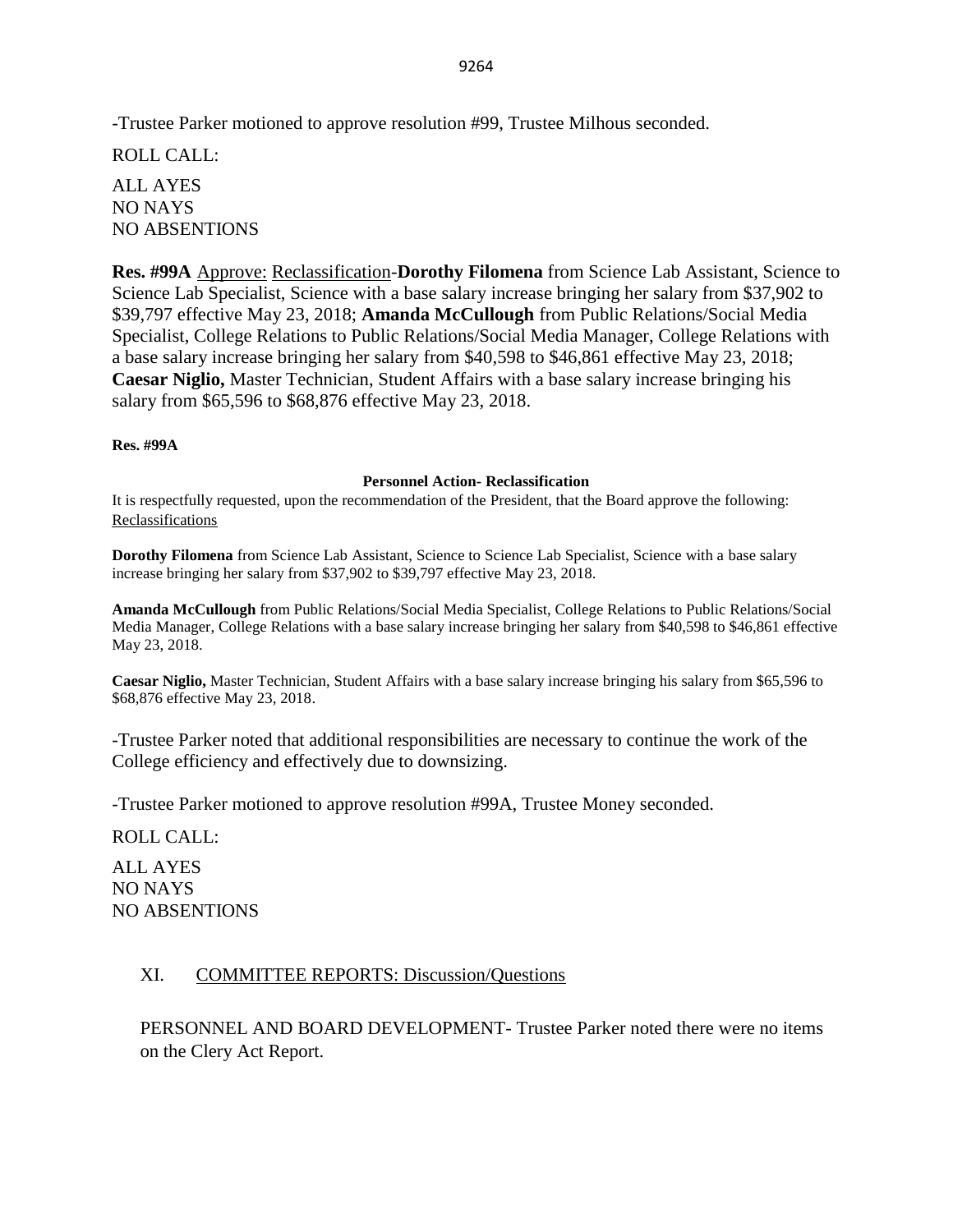-Trustee Parker motioned to approve resolution #99, Trustee Milhous seconded.

ROLL CALL:

ALL AYES NO NAYS NO ABSENTIONS

**Res. #99A** Approve: Reclassification-**Dorothy Filomena** from Science Lab Assistant, Science to Science Lab Specialist, Science with a base salary increase bringing her salary from \$37,902 to \$39,797 effective May 23, 2018; **Amanda McCullough** from Public Relations/Social Media Specialist, College Relations to Public Relations/Social Media Manager, College Relations with a base salary increase bringing her salary from \$40,598 to \$46,861 effective May 23, 2018; **Caesar Niglio,** Master Technician, Student Affairs with a base salary increase bringing his salary from \$65,596 to \$68,876 effective May 23, 2018.

### **Res. #99A**

#### **Personnel Action- Reclassification**

It is respectfully requested, upon the recommendation of the President, that the Board approve the following: Reclassifications

**Dorothy Filomena** from Science Lab Assistant, Science to Science Lab Specialist, Science with a base salary increase bringing her salary from \$37,902 to \$39,797 effective May 23, 2018.

**Amanda McCullough** from Public Relations/Social Media Specialist, College Relations to Public Relations/Social Media Manager, College Relations with a base salary increase bringing her salary from \$40,598 to \$46,861 effective May 23, 2018.

**Caesar Niglio,** Master Technician, Student Affairs with a base salary increase bringing his salary from \$65,596 to \$68,876 effective May 23, 2018.

-Trustee Parker noted that additional responsibilities are necessary to continue the work of the College efficiency and effectively due to downsizing.

-Trustee Parker motioned to approve resolution #99A, Trustee Money seconded.

ROLL CALL:

ALL AYES NO NAYS NO ABSENTIONS

## XI. COMMITTEE REPORTS: Discussion/Questions

PERSONNEL AND BOARD DEVELOPMENT- Trustee Parker noted there were no items on the Clery Act Report.